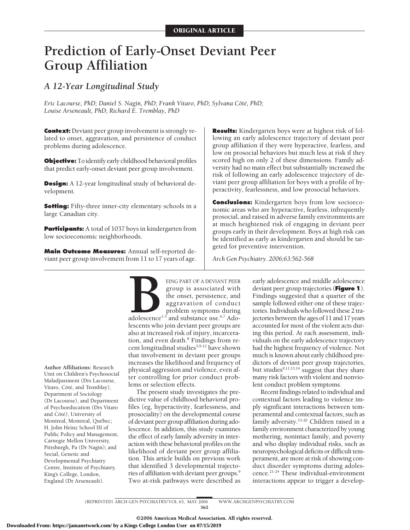# **Prediction of Early-Onset Deviant Peer Group Affiliation**

# *A 12-Year Longitudinal Study*

Eric Lacourse, PhD; Daniel S. Nagin, PhD; Frank Vitaro, PhD; Sylvana Côté, PhD; *Louise Arseneault, PhD; Richard E. Tremblay, PhD*

**Context:** Deviant peer group involvement is strongly related to onset, aggravation, and persistence of conduct problems during adolescence.

**Objective:** To identify early childhood behavioral profiles that predict early-onset deviant peer group involvement.

**Design:** A 12-year longitudinal study of behavioral development.

**Setting:** Fifty-three inner-city elementary schools in a large Canadian city.

**Participants:** A total of 1037 boys in kindergarten from low socioeconomic neighborhoods.

**Main Outcome Measures:** Annual self-reported deviant peer group involvement from 11 to 17 years of age.

**Results:** Kindergarten boys were at highest risk of following an early adolescence trajectory of deviant peer group affiliation if they were hyperactive, fearless, and low on prosocial behaviors but much less at risk if they scored high on only 2 of these dimensions. Family adversity had no main effect but substantially increased the risk of following an early adolescence trajectory of deviant peer group affiliation for boys with a profile of hyperactivity, fearlessness, and low prosocial behaviors.

**Conclusions:** Kindergarten boys from low socioeconomic areas who are hyperactive, fearless, infrequently prosocial, and raised in adverse family environments are at much heightened risk of engaging in deviant peer groups early in their development. Boys at high risk can be identified as early as kindergarten and should be targeted for preventive intervention.

*Arch Gen Psychiatry. 2006;63:562-568*

**Author Affiliations:** Research Unit on Children's Psychosocial Maladjustment (Drs Lacourse, Vitaro, Côté, and Tremblay), Department of Sociology (Dr Lacourse), and Department of Psychoeducation (Drs Vitaro and Côté), University of Montreal, Montreal, Québec; H. John Heinz School III of Public Policy and Management, Carnegie Mellon University, Pittsburgh, Pa (Dr Nagin); and Social, Genetic and Developmental Psychiatry Centre, Institute of Psychiatry, King's College, London, England (Dr Arseneault).

EING PART OF A DEVIANT PEER<br>group is associated with<br>the onset, persistence, and<br>aggravation of conduct<br>problem symptoms during<br>adolescence<sup>1-5</sup> and substance use.<sup>6,7</sup> Ado-<br>lescents who ioin deviant peer groups are group is associated with the onset, persistence, and aggravation of conduct problem symptoms during adolescence<sup>1-5</sup> and substance use.<sup>6,7</sup> Adolescents who join deviant peer groups are also at increased risk of injury, incarceration, and even death.<sup>8</sup> Findings from recent longitudinal studies<sup>3,9-12</sup> have shown that involvement in deviant peer groups increases the likelihood and frequency of physical aggression and violence, even after controlling for prior conduct problems or selection effects.

The present study investigates the predictive value of childhood behavioral profiles (eg, hyperactivity, fearlessness, and prosociality) on the developmental course of deviant peer group affiliation during adolescence. In addition, this study examines the effect of early family adversity in interaction with these behavioral profiles on the likelihood of deviant peer group affiliation. This article builds on previous work that identified 3 developmental trajectories of affiliation with deviant peer groups.9 Two at-risk pathways were described as

early adolescence and middle adolescence deviant peer group trajectories (**Figure 1**). Findings suggested that a quarter of the sample followed either one of these trajectories. Individuals who followed these 2 trajectories between the ages of 11 and 17 years accounted for most of the violent acts during this period. At each assessment, individuals on the early adolescence trajectory had the highest frequency of violence. Not much is known about early childhood predictors of deviant peer group trajectories, but studies<sup>9,11,13,14</sup> suggest that they share many risk factors with violent and nonviolent conduct problem symptoms.

Recent findings related to individual and contextual factors leading to violence imply significant interactions between temperamental and contextual factors, such as family adversity.<sup>15-20</sup> Children raised in a family environment characterized by young mothering, nonintact family, and poverty and who display individual risks, such as neuropsychological deficits or difficult temperament, are more at risk of showing conduct disorder symptoms during adolescence.21-24 These individual-environment interactions appear to trigger a develop-

(REPRINTED) ARCH GEN PSYCHIATRY/ VOL 63, MAY 2006 WWW.ARCHGENPSYCHIATRY.COM 562

©2006 American Medical Association. All rights reserved.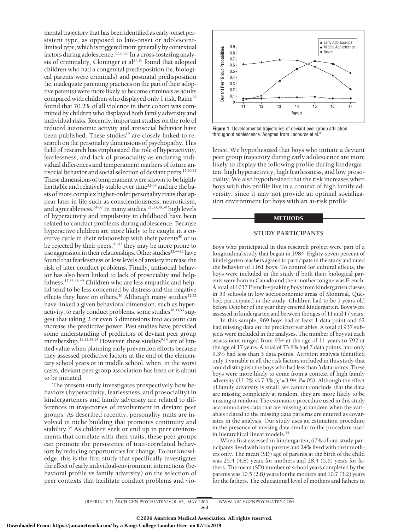mental trajectory that has been identified as early-onset persistent type, as opposed to late-onset or adolescentlimited type, which is triggered more generally by contextual factors during adolescence.22,25,26 In a cross-fostering analysis of criminality, Cloninger et al<sup>27,28</sup> found that adopted children who had a congenital predisposition (ie, biological parents were criminals) and postnatal predisposition (ie, inadequate parenting practices on the part of their adoptive parents) were more likely to become criminals as adults compared with children who displayed only 1 risk. Raine<sup>29</sup> found that 70.2% of all violence in their cohort was committed by children who displayed both family adversity and individual risks. Recently, important studies on the role of reduced autonomic activity and antisocial behavior have been published. These studies<sup>19</sup> are closely linked to research on the personality dimensions of psychopathy. This field of research has emphasized the role of hyperactivity, fearlessness, and lack of prosociality as enduring individual differences and temperament markers of future antisocial behavior and social selection of deviant peers.<sup>17,30,31</sup> These dimensions of temperament were shown to be highly heritable and relatively stable over time32-34 and are the basis of more complex higher-order personality traits that appear later in life such as conscientiousness, neuroticism, and agreeableness.<sup>34-37</sup> In many studies,<sup>21,33,38,39</sup> high levels of hyperactivity and impulsivity in childhood have been related to conduct problems during adolescence. Because hyperactive children are more likely to be caught in a coercive cycle in their relationship with their parents<sup>40</sup> or to be rejected by their peers,<sup>41-43</sup> they may be more prone to use aggression in their relationships. Other studies<sup>33,44,45</sup> have found that fearlessness or low levels of anxiety increase the risk of later conduct problems. Finally, antisocial behavior has also been linked to lack of prosociality and helpfulness.17,33,46-49 Children who are less empathic and helpful tend to be less concerned by distress and the negative effects they have on others.<sup>50</sup> Although many studies<sup>51,52</sup> have linked a given behavioral dimension, such as hyperactivity, to early conduct problems, some studies $30,33,53$  suggest that taking 2 or even 3 dimensions into account can increase the predictive power. Past studies have provided some understanding of predictors of deviant peer group membership.<sup>11,13,14,54</sup> However, these studies<sup>9,14</sup> are of limited value when planning early prevention efforts because they assessed predictive factors at the end of the elementary school years or in middle school, when, in the worst cases, deviant peer group association has been or is about to be initiated.

The present study investigates prospectively how behaviors (hyperactivity, fearlessness, and prosociality) in kindergarteners and family adversity are related to differences in trajectories of involvement in deviant peer groups. As described recently, personality traits are involved in niche building that promotes continuity and stability.<sup>34</sup> As children seek or end up in peer environments that correlate with their traits, these peer groups can promote the persistence of trait-correlated behaviors by reducing opportunities for change. To our knowledge, this is the first study that specifically investigates the effect of early individual-environment interactions (behavioral profile vs family adversity) on the selection of peer contexts that facilitate conduct problems and vio-



**Figure 1.** Developmental trajectories of deviant peer group affiliation throughout adolescence. Adapted from Lacourse et al.

lence. We hypothesized that boys who initiate a deviant peer group trajectory during early adolescence are more likely to display the following profile during kindergarten: high hyperactivity, high fearlessness, and low prosociality. We also hypothesized that the risk increases when boys with this profile live in a context of high family adversity, since it may not provide an optimal socialization environment for boys with an at-risk profile.

#### METHODS

# **STUDY PARTICIPANTS**

Boys who participated in this research project were part of a longitudinal study that began in 1984. Eighty-seven percent of kindergarten teachers agreed to participate in the study and rated the behavior of 1161 boys. To control for cultural effects, the boys were included in the study if both their biological parents were born in Canada and their mother tongue was French. A total of 1037 French-speaking boys from kindergarten classes in 53 schools in low socioeconomic areas of Montreal, Quebec, participated in the study. Children had to be 5 years old before October of the year they entered kindergarten. Boys were assessed in kindergarten and between the ages of 11 and 17 years.

In this sample, 969 boys had at least 1 data point and 62 had missing data on the predictor variables. A total of 937 subjects were included in the analyses. The number of boys at each assessment ranged from 934 at the age of 11 years to 792 at the age of 17 years. A total of 73.8% had 7 data points, and only 9.3% had less than 3 data points. Attrition analysis identified only 1 variable in all the risk factors included in this study that could distinguish the boys who had less than 3 data points. These boys were more likely to come from a context of high family adversity (11.2% vs  $7.1\%$ ;  $\chi^2$ =3.94; *P*=.05). Although the effect of family adversity is small, we cannot conclude that the data are missing completely at random; they are more likely to be missing at random. The estimation procedure used in this study accommodates data that are missing at random when the variables related to the missing data patterns are entered as covariates in the analysis. Our study uses an estimation procedure in the presence of missing data similar to the procedure used in hierarchical linear models.<sup>55</sup>

When first assessed in kindergarten, 67% of our study participants lived with both parents and 24% lived with their mothers only. The mean (SD) age of parents at the birth of the child was 25.4 (4.8) years for mothers and 28.4 (5.6) years for fathers. The mean (SD) number of school years completed by the parents was 10.5 (2.8) years for the mothers and 10.7 (3.2) years for the fathers. The educational level of mothers and fathers in

(REPRINTED) ARCH GEN PSYCHIATRY/ VOL 63, MAY 2006 WWW.ARCHGENPSYCHIATRY.COM 563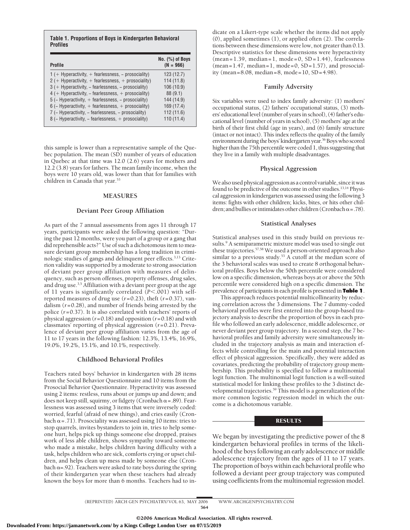**Table 1. Proportions of Boys in Kindergarten Behavioral Profiles**

| Profile                                               | No. $(%)$ of Boys<br>$(N = 966)$ |
|-------------------------------------------------------|----------------------------------|
| $1$ (+ Hyperactivity, + fearlessness, - prosociality) | 123(12.7)                        |
| $2$ (+ Hyperactivity, + fearlessness, + prosociality) | 114(11.8)                        |
| $3$ (+ Hyperactivity, - fearlessness, - prosociality) | 106 (10.9)                       |
| $4$ (+ Hyperactivity, - fearlessness, + prosociality) | 88(9.1)                          |
| $5$ (- Hyperactivity, + fearlessness, - prosociality) | 144 (14.9)                       |
| 6 (- Hyperactivity, + fearlessness, + prosociality)   | 169 (17.4)                       |
| 7 (- Hyperactivity, - fearlessness, - prosociality)   | 112(11.6)                        |
| $8$ (– Hyperactivity, – fearlessness, + prosociality) | 110(11.4)                        |

this sample is lower than a representative sample of the Quebec population. The mean (SD) number of years of education in Quebec at that time was 12.0 (2.6) years for mothers and 12.2 (3.8) years for fathers. The mean family income, when the boys were 10 years old, was lower than that for families with children in Canada that year.<sup>53</sup>

#### **MEASURES**

#### **Deviant Peer Group Affiliation**

As part of the 7 annual assessments from ages 11 through 17 years, participants were asked the following question: "During the past 12 months, were you part of a group or a gang that did reprehensible acts?" Use of such a dichotomous item to measure deviant group membership has a long tradition in criminologic studies of gangs and delinquent peer effects.<sup>3,13</sup> Criterion validity was supported by a moderate to strong association of deviant peer group affiliation with measures of delinquency, such as person offenses, property offenses, drug sales, and drug use.3,5 Affiliation with a deviant peer group at the age of 11 years is significantly correlated (P<.001) with selfreported measures of drug use (*r*=0.23), theft (*r*=0.37), vandalism (*r*=0.28), and number of friends being arrested by the police (*r*=0.37). It is also correlated with teachers' reports of physical aggression (*r*=0.18) and opposition (*r*=0.18) and with classmates' reporting of physical aggression (*r*=0.21). Prevalence of deviant peer group affiliation varies from the age of 11 to 17 years in the following fashion: 12.3%, 13.4%, 16.9%, 19.0%, 19.2%, 15.1%, and 10.1%, respectively.

# **Childhood Behavioral Profiles**

Teachers rated boys' behavior in kindergarten with 28 items from the Social Behavior Questionnaire and 10 items from the Prosocial Behavior Questionnaire. Hyperactivity was assessed using 2 items: restless, runs about or jumps up and down; and does not keep still, squirmy, or fidgety (Cronbach  $\alpha$  = .89). Fearlessness was assessed using 3 items that were inversely coded: worried, fearful (afraid of new things), and cries easily (Cronbach  $\alpha$  = .71). Prosociality was assessed using 10 items: tries to stop quarrels, invites bystanders to join in, tries to help someone hurt, helps pick up things someone else dropped, praises work of less able children, shows sympathy toward someone who made a mistake, helps children having difficulty with a task, helps children who are sick, comforts crying or upset children, and helps clean up mess made by someone else (Cronbach  $\alpha$ =.92). Teachers were asked to rate boys during the spring of their kindergarten year when these teachers had already known the boys for more than 6 months. Teachers had to indicate on a Likert-type scale whether the items did not apply (0), applied sometimes (1), or applied often (2). The correlations between these dimensions were low, not greater than 0.13. Descriptive statistics for these dimensions were hyperactivity (mean=1.39, median=1, mode=0, SD=1.44), fearlessness  $(mean=1.47, median=1, mode=0, SD=1.57)$ , and prosociality (mean=8.08, median=8, mode=10, SD=4.98).

#### **Family Adversity**

Six variables were used to index family adversity: (1) mothers' occupational status, (2) fathers' occupational status, (3) mothers' educational level (number of years in school), (4) father's educational level (number of years in school), (5) mothers' age at the birth of their first child (age in years), and (6) family structure (intact or not intact). This index reflects the quality of the family environment during the boys' kindergarten year.<sup>56</sup> Boys who scored higher than the 75th percentile were coded 1, thus suggesting that they live in a family with multiple disadvantages.

#### **Physical Aggression**

We also used physical aggression as a control variable, since it was found to be predictive of the outcome in other studies.<sup>13,14</sup> Physical aggression in kindergarten was assessed using the following 3 items: fights with other children; kicks, bites, or hits other children; and bullies or intimidates other children (Cronbach  $\alpha$  = .78).

#### **Statistical Analyses**

Statistical analyses used in this study build on previous results.<sup>9</sup> A semiparametric mixture model was used to single out these trajectories.57,58 We used a person-oriented approach also similar to a previous study.<sup>53</sup> A cutoff at the median score of the 3 behavioral scales was used to create 8 orthogonal behavioral profiles. Boys below the 50th percentile were considered low on a specific dimension, whereas boys at or above the 50th percentile were considered high on a specific dimension. The prevalence of participants in each profile is presented in **Table 1**.

This approach reduces potential multicollinearity by reducing correlation across the 3 dimensions. The 7 dummy-coded behavioral profiles were first entered into the group-based trajectory analysis to describe the proportion of boys in each profile who followed an early adolescence, middle adolescence, or never deviant peer group trajectory. In a second step, the 7 behavioral profiles and family adversity were simultaneously included in the trajectory analysis as main and interaction effects while controlling for the main and potential interaction effect of physical aggression. Specifically, they were added as covariates, predicting the probability of trajectory group membership. This probability is specified to follow a multinomial logit function. The multinomial logit function is a well-suited statistical model for linking these profiles to the 3 distinct developmental trajectories.59 This model is a generalization of the more common logistic regression model in which the outcome is a dichotomous variable.

## **RESULTS**

We began by investigating the predictive power of the 8 kindergarten behavioral profiles in terms of the likelihood of the boys following an early adolescence or middle adolescence trajectory from the ages of 11 to 17 years. The proportion of boys within each behavioral profile who followed a deviant peer group trajectory was computed using coefficients from the multinomial regression model.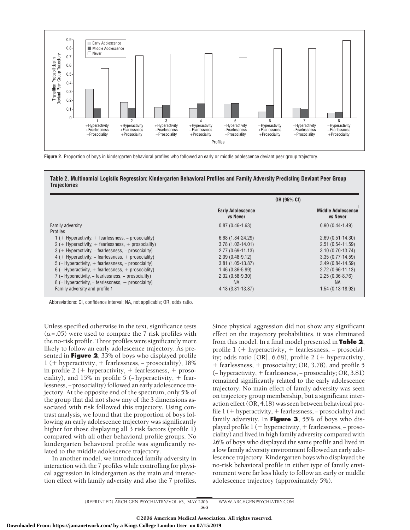

**Figure 2.** Proportion of boys in kindergarten behavioral profiles who followed an early or middle adolescence deviant peer group trajectory.

**Table 2. Multinomial Logistic Regression: Kindergarten Behavioral Profiles and Family Adversity Predicting Deviant Peer Group Trajectories**

|                                                            | OR (95% CI)                                 |                                              |
|------------------------------------------------------------|---------------------------------------------|----------------------------------------------|
|                                                            | <b>Early Adolescence</b><br><b>vs Never</b> | <b>Middle Adolescence</b><br><b>vs Never</b> |
| Family adversity                                           | $0.87(0.46-1.63)$                           | $0.90(0.44-1.49)$                            |
| <b>Profiles</b>                                            |                                             |                                              |
| $1$ (+ Hyperactivity, + fearlessness, – prosociality)      | 6.68 (1.84-24.29)                           | $2.69(0.51 - 14.30)$                         |
| $2$ (+ Hyperactivity, + fearlessness, + prosociality)      | $3.78(1.02 - 14.01)$                        | $2.51(0.54-11.59)$                           |
| $3$ (+ Hyperactivity, – fearlessness, – prosociality)      | $2.77(0.69 - 11.13)$                        | $3.10(0.70-13.74)$                           |
| $4$ (+ Hyperactivity, – fearlessness, + prosociality)      | $2.09(0.48-9.12)$                           | $3.35(0.77 - 14.59)$                         |
| 5 ( $-$ Hyperactivity, $+$ fearlessness, $-$ prosociality) | $3.81(1.05-13.87)$                          | $3.49(0.84 - 14.59)$                         |
| 6 ( $-$ Hyperactivity, $+$ fearlessness, $+$ prosociality) | $1.46(0.36-5.99)$                           | $2.72(0.66 - 11.13)$                         |
| 7 (- Hyperactivity, - fearlessness, - prosociality)        | $2.32(0.58-9.30)$                           | $2.25(0.36-8.76)$                            |
| $8$ (- Hyperactivity, - fearlessness, + prosociality)      | NA.                                         | <b>NA</b>                                    |
| Family adversity and profile 1                             | 4.18 (3.31-13.87)                           | 1.54 (0.13-18.92)                            |

Abbreviations: CI, confidence interval; NA, not applicable; OR, odds ratio.

Unless specified otherwise in the text, significance tests  $(\alpha = .05)$  were used to compare the 7 risk profiles with the no-risk profile. Three profiles were significantly more likely to follow an early adolescence trajectory. As presented in **Figure 2**, 33% of boys who displayed profile 1 ( hyperactivity, fearlessness, − prosociality), 18% in profile 2 ( $+$  hyperactivity,  $+$  fearlessness,  $+$  prosociality), and 15% in profile 5 ( $-$ hyperactivity,  $+$  fearlessness, −prosociality) followed an early adolescence trajectory. At the opposite end of the spectrum, only 5% of the group that did not show any of the 3 dimensions associated with risk followed this trajectory. Using contrast analysis, we found that the proportion of boys following an early adolescence trajectory was significantly higher for those displaying all 3 risk factors (profile 1) compared with all other behavioral profile groups. No kindergarten behavioral profile was significantly related to the middle adolescence trajectory.

In another model, we introduced family adversity in interaction with the 7 profiles while controlling for physical aggression in kindergarten as the main and interaction effect with family adversity and also the 7 profiles. Since physical aggression did not show any significant effect on the trajectory probabilities, it was eliminated from this model. In a final model presented in **Table 2**, profile 1 (+ hyperactivity, + fearlessness, - prosociality; odds ratio [OR],  $6.68$ ), profile 2 (+ hyperactivity,  $f$  fearlessness,  $f$  prosociality; OR, 3.78), and profile 5 (− hyperactivity, fearlessness, − prosociality; OR, 3.81) remained significantly related to the early adolescence trajectory. No main effect of family adversity was seen on trajectory group membership, but a significant interaction effect (OR, 4.18) was seen between behavioral profile 1 ( hyperactivity, fearlessness, − prosociality) and family adversity. In **Figure 3**, 55% of boys who displayed profile 1 ( + hyperactivity, + fearlessness, - prosociality) and lived in high family adversity compared with 26% of boys who displayed the same profile and lived in a low family adversity environment followed an early adolescence trajectory. Kindergarten boys who displayed the no-risk behavioral profile in either type of family environment were far less likely to follow an early or middle adolescence trajectory (approximately 5%).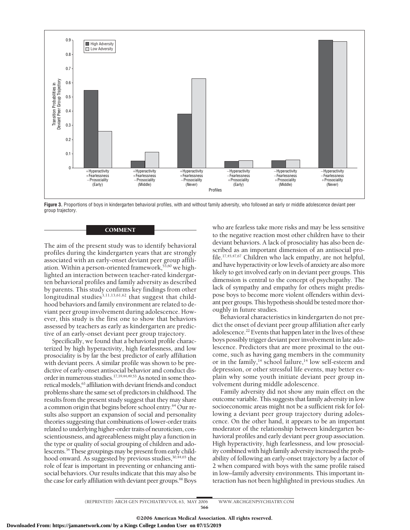

**Figure 3.** Proportions of boys in kindergarten behavioral profiles, with and without family adversity, who followed an early or middle adolescence deviant peer group trajectory.

#### **COMMENT**

The aim of the present study was to identify behavioral profiles during the kindergarten years that are strongly associated with an early-onset deviant peer group affiliation. Within a person-oriented framework,  $53,60$  we highlighted an interaction between teacher-rated kindergarten behavioral profiles and family adversity as described by parents. This study confirms key findings from other longitudinal studies<sup>3,11,13,61,62</sup> that suggest that childhood behaviors and family environment are related to deviant peer group involvement during adolescence. However, this study is the first one to show that behaviors assessed by teachers as early as kindergarten are predictive of an early-onset deviant peer group trajectory.

Specifically, we found that a behavioral profile characterized by high hyperactivity, high fearlessness, and low prosociality is by far the best predictor of early affiliation with deviant peers. A similar profile was shown to be predictive of early-onset antisocial behavior and conduct disorder in numerous studies.<sup>17,19,44,49,53</sup> As noted in some theoretical models,<sup>63</sup> affiliation with deviant friends and conduct problems share the same set of predictors in childhood. The results from the present study suggest that they may share a common origin that begins before school entry.64 Our results also support an expansion of social and personality theories suggesting that combinations of lower-order traits related to underlying higher-order traits of neuroticism, conscientiousness, and agreeableness might play a function in the type or quality of social grouping of children and adolescents.<sup>34</sup> These groupings may be present from early childhood onward. As suggested by previous studies,<sup>30,44,65</sup> the role of fear is important in preventing or enhancing antisocial behaviors. Our results indicate that this may also be the case for early affiliation with deviant peer groups.<sup>66</sup> Boys

who are fearless take more risks and may be less sensitive to the negative reaction most other children have to their deviant behaviors. A lack of prosociality has also been described as an important dimension of an antisocial profile.17,45,47,67 Children who lack empathy, are not helpful, and have hyperactivity or low levels of anxiety are also more likely to get involved early on in deviant peer groups. This dimension is central to the concept of psychopathy. The lack of sympathy and empathy for others might predispose boys to become more violent offenders within deviant peer groups. This hypothesis should be tested more thoroughly in future studies.

Behavioral characteristics in kindergarten do not predict the onset of deviant peer group affiliation after early adolescence.22 Events that happen later in the lives of these boys possibly trigger deviant peer involvement in late adolescence. Predictors that are more proximal to the outcome, such as having gang members in the community or in the family,<sup>14</sup> school failure,<sup>14</sup> low self-esteem and depression, or other stressful life events, may better explain why some youth initiate deviant peer group involvement during middle adolescence.

Family adversity did not show any main effect on the outcome variable. This suggests that family adversity in low socioeconomic areas might not be a sufficient risk for following a deviant peer group trajectory during adolescence. On the other hand, it appears to be an important moderator of the relationship between kindergarten behavioral profiles and early deviant peer group association. High hyperactivity, high fearlessness, and low prosociality combined with high family adversity increased the probability of following an early-onset trajectory by a factor of 2 when compared with boys with the same profile raised in low–family adversity environments. This important interaction has not been highlighted in previous studies. An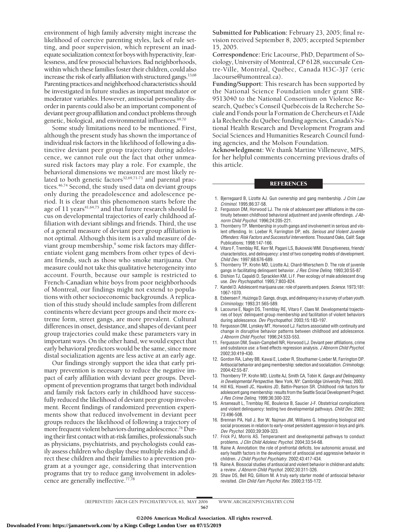environment of high family adversity might increase the likelihood of coercive parenting styles, lack of rule setting, and poor supervision, which represent an inadequate socialization context for boys with hyperactivity, fearlessness, and few prosocial behaviors. Bad neighborhoods, within which these families foster their children, could also increase the risk of early affiliation with structured gangs.13,68 Parenting practices and neighborhood characteristics should be investigated in future studies as important mediator or moderator variables. However, antisocial personality disorder in parents could also be an important component of deviant peer group affiliation and conduct problems through genetic, biological, and environmental influences.<sup>69,70</sup>

Some study limitations need to be mentioned. First, although the present study has shown the importance of individual risk factors in the likelihood of following a distinctive deviant peer group trajectory during adolescence, we cannot rule out the fact that other unmeasured risk factors may play a role. For example, the behavioral dimensions we measured are most likely related to both genetic factors<sup>32,69,71-73</sup> and parental practices.<sup>46,74</sup> Second, the study used data on deviant groups only during the preadolescence and adolescence period. It is clear that this phenomenon starts before the age of 11 years<sup>41,64,75</sup> and that future research should focus on developmental trajectories of early childhood affiliation with deviant siblings and friends. Third, the use of a general measure of deviant peer group affiliation is not optimal. Although this item is a valid measure of deviant group membership,<sup>9</sup> some risk factors may differentiate violent gang members from other types of deviant friends, such as those who smoke marijuana. Our measure could not take this qualitative heterogeneity into account. Fourth, because our sample is restricted to French-Canadian white boys from poor neighborhoods of Montreal, our findings might not extend to populations with other socioeconomic backgrounds. A replication of this study should include samples from different continents where deviant peer groups and their more extreme form, street gangs, are more prevalent. Cultural differences in onset, desistance, and shapes of deviant peer group trajectories could make these parameters vary in important ways. On the other hand, we would expect that early behavioral predictors would be the same, since more distal socialization agents are less active at an early age.

Our findings strongly support the idea that early primary prevention is necessary to reduce the negative impact of early affiliation with deviant peer groups. Development of prevention programs that target both individual and family risk factors early in childhood have successfully reduced the likelihood of deviant peer group involvement. Recent findings of randomized prevention experiments show that reduced involvement in deviant peer groups reduces the likelihood of following a trajectory of more frequent violent behaviors during adolescence.<sup>76</sup> During their first contact with at-risk families, professionals such as physicians, psychiatrists, and psychologists could easily assess children who display these multiple risks and direct these children and their families to a prevention program at a younger age, considering that intervention programs that try to reduce gang involvement in adolescence are generally ineffective.<sup>77,78</sup>

**Submitted for Publication:** February 23, 2005; final revision received September 8, 2005; accepted September 15, 2005.

**Correspondence:** Eric Lacourse, PhD, Department of Sociology, University of Montreal, CP 6128, succursale Centre-Ville, Montréal, Québec, Canada H3C-3J7 (eric .lacourse@umontreal.ca).

**Funding/Support:** This research has been supported by the National Science Foundation under grant SBR-9513040 to the National Consortium on Violence Research, Québec's Conseil Québécois de la Recherche Sociale and Fonds pour la Formation de Chercheurs et l'Aide à la Recherche du Québec funding agencies, Canada's National Health Research and Development Program and Social Sciences and Humanities Research Council funding agencies, and the Molson Foundation.

**Acknowledgment:** We thank Martine Villeneuve, MPS, for her helpful comments concerning previous drafts of this article.

### **REFERENCES**

- 1. Bjerregaard B, Lizotte AJ. Gun ownership and gang membership. *J Crim Law Criminol*. 1995;86:37-58.
- 2. Fergusson DM, Horwood LJ. The role of adolescent peer affiliations in the continuity between childhood behavioral adjustment and juvenile offendings. *J Abnorm Child Psychol*. 1996;24:205-221.
- 3. Thornberry TP. Membership in youth gangs and involvement in serious and violent offending. In: Loeber R, Farrington DP, eds. *Serious and Violent Juvenile Offenders: Risk Factors and Successful Interventions.* Thousand Oaks, Calif: Sage Publications; 1998:147-166.
- 4. Vitaro F, Tremblay RE, Kerr M, Pagani LS, Bukowski WM. Disruptiveness, friends' characteristics, and delinquency: a test of two competing models of development. *Child Dev*. 1997;68:676-689.
- 5. Thornberry TP, Krohn MD, Lizotte AJ, Chard-Wierschem D. The role of juvenile gangs in facilitating delinquent behavior. *J Res Crime Delinq*. 1993;30:55-87.
- 6. Dishion TJ, Capaldi D, Spracklen KM, Li F. Peer ecology of male adolescent drug use. *Dev Psychopathol*. 1995;7:803-824.
- 7. Kandel D. Adolescent marijuana use: role of parents and peers. *Science*. 1973;181: 1067-1070.
- 8. Esbensen F, Huizinga D. Gangs, drugs, and delinquency in a survey of urban youth. *Criminology*. 1993;31:565-589.
- 9. Lacourse E, Nagin DS, Tremblay RE, Vitaro F, Claes M. Developmental trajectories of boys' delinquent group membership and facilitation of violent behaviors during adolescence. *Dev Psychopathol*. 2003;15:183-197.
- 10. Fergusson DM, Lynskey MT, Horwood LJ. Factors associated with continuity and change in disruptive behavior patterns between childhood and adolescence. *J Abnorm Child Psychol*. 1996;24:533-553.
- 11. Fergusson DM, Swain-Campbell NR, Horwood LJ. Deviant peer affiliations, crime and substance use: a fixed effects regression analysis. *J Abnorm Child Psychol*. 2002;30:419-430.
- 12. Gordon RA, Lahey BB, Kawai E, Loeber R, Stouthamer-Loeber M, Farrington DP. Antisocial behavior and gang membership: selection and socialization. *Criminology*. 2004;42:55-87.
- 13. Thornberry TP, Krohn MD, Lizotte AJ, Smith CA, Tobin K. *Gangs and Delinquency in Developmental Perspective.* New York, NY: Cambridge University Press; 2003.
- 14. Hill KG, Howell JC, Hawkins JD, Battin-Pearson SR. Childhood risk factors for adolescent gang membership: results from the Seattle Social Development Project. *J Res Crime Delinq*. 1999;36:300-322.
- 15. Arseneault L, Tremblay RE, Boulerice B, Saucier J-F. Obstetrical complications and violent delinquency: testing two developmental pathways. *Child Dev*. 2002; 73:496-508.
- 16. Brennan PA, Hall J, Bor W, Najman JM, Williams G. Integrating biological and social processes in relation to early-onset persistent aggression in boys and girls. *Dev Psychol*. 2003;39:309-323.
- 17. Frick PJ, Morris AS. Temperament and developmental pathways to conduct problems. *J Clin Child Adolesc Psychol*. 2004;33:54-68.
- 18. Raine A. Annotation: the role of prefrontal deficits, low autonomic arousal, and early health factors in the development of antisocial and aggressive behavior in children. *J Child Psychol Psychiatry*. 2002;43:417-434.
- 19. Raine A. Biosocial studies of antisocial and violent behavior in children and adults: a review. *J Abnorm Child Psychol*. 2002;30:311-326.
- 20. Shaw DS, Bell RQ, Gilliom M. A truly early starter model of antisocial behavior revisited. *Clin Child Fam Psychol Rev*. 2000;3:155-172.

(REPRINTED) ARCH GEN PSYCHIATRY/ VOL 63, MAY 2006 WWW.ARCHGENPSYCHIATRY.COM

567 ©2006 American Medical Association. All rights reserved.